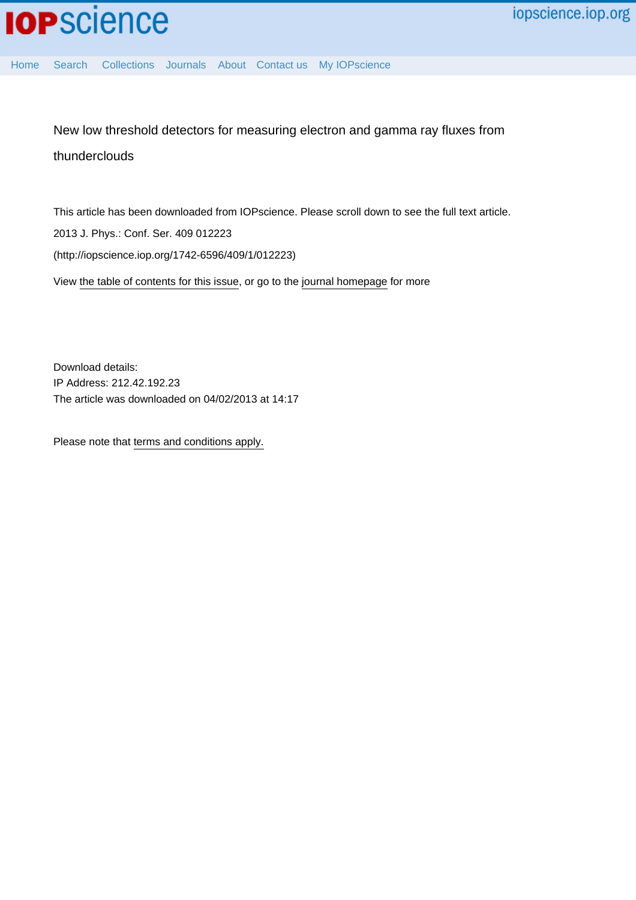[Home](http://iopscience.iop.org/) [Search](http://iopscience.iop.org/search) [Collections](http://iopscience.iop.org/collections) [Journals](http://iopscience.iop.org/journals) [About](http://iopscience.iop.org/page/aboutioppublishing) [Contact us](http://iopscience.iop.org/contact) [My IOPscience](http://iopscience.iop.org/myiopscience)

New low threshold detectors for measuring electron and gamma ray fluxes from thunderclouds

This article has been downloaded from IOPscience. Please scroll down to see the full text article. 2013 J. Phys.: Conf. Ser. 409 012223 (http://iopscience.iop.org/1742-6596/409/1/012223) View [the table of contents for this issue](http://iopscience.iop.org/1742-6596/409/1), or go to the [journal homepage](http://iopscience.iop.org/1742-6596) for more

Download details: IP Address: 212.42.192.23 The article was downloaded on 04/02/2013 at 14:17

Please note that [terms and conditions apply.](http://iopscience.iop.org/page/terms)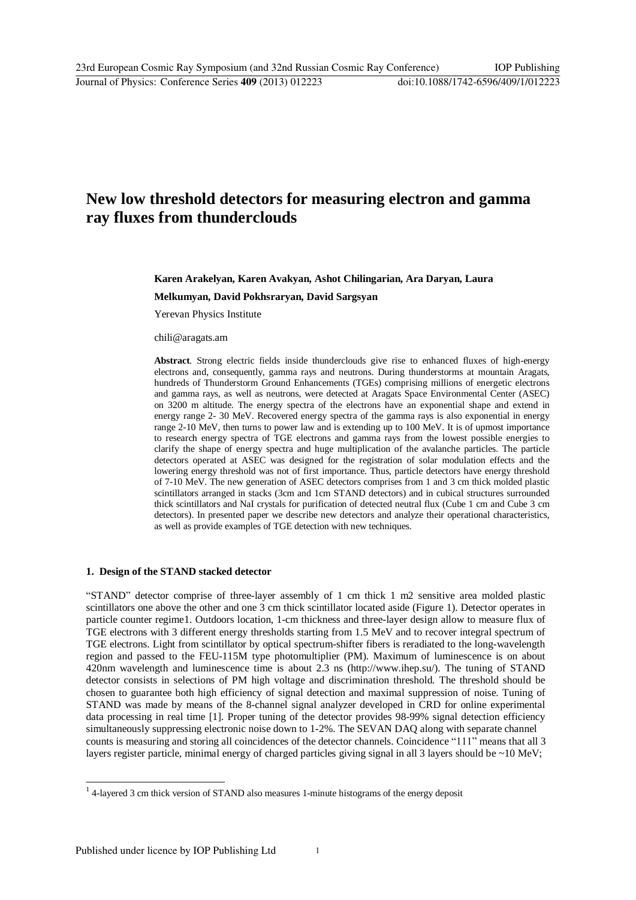# **New low threshold detectors for measuring electron and gamma ray fluxes from thunderclouds**

# **Karen Arakelyan, Karen Avakyan, Ashot Chilingarian, Ara Daryan, Laura**

**Melkumyan, David Pokhsraryan, David Sargsyan** 

Yerevan Physics Institute

chili@aragats.am

**Abstract**. Strong electric fields inside thunderclouds give rise to enhanced fluxes of high-energy electrons and, consequently, gamma rays and neutrons. During thunderstorms at mountain Aragats, [hundreds](mailto:chili@aragats.am) of Thunderstorm Ground Enhancements (TGEs) comprising millions of energetic electrons and gamma rays, as well as neutrons, were detected at Aragats Space Environmental Center (ASEC) on 3200 m altitude. The energy spectra of the electrons have an exponential shape and extend in energy range 2- 30 MeV. Recovered energy spectra of the gamma rays is also exponential in energy range 2-10 MeV, then turns to power law and is extending up to 100 MeV. It is of upmost importance to research energy spectra of TGE electrons and gamma rays from the lowest possible energies to clarify the shape of energy spectra and huge multiplication of the avalanche particles. The particle detectors operated at ASEC was designed for the registration of solar modulation effects and the lowering energy threshold was not of first importance. Thus, particle detectors have energy threshold of 7-10 MeV. The new generation of ASEC detectors comprises from 1 and 3 cm thick molded plastic scintillators arranged in stacks (3cm and 1cm STAND detectors) and in cubical structures surrounded thick scintillators and NaI crystals for purification of detected neutral flux (Cube 1 cm and Cube 3 cm detectors). In presented paper we describe new detectors and analyze their operational characteristics, as well as provide examples of TGE detection with new techniques.

#### **1. Design of the STAND stacked detector**

"STAND" detector comprise of three-layer assembly of 1 cm thick 1 m2 sensitive area molded plastic scintillators one above the other and one 3 cm thick scintillator located aside (Figure 1). Detector operates in particle counter regime1. Outdoors location, 1-cm thickness and three-layer design allow to measure flux of TGE electrons with 3 different energy thresholds starting from 1.5 MeV and to recover integral spectrum of TGE electrons. Light from scintillator by optical spectrum-shifter fibers is reradiated to the long-wavelength region and passed to the FEU-115M type photomultiplier (PM). Maximum of luminescence is on about 420nm wavelength and luminescence time is about 2.3 ns (http://www.ihep.su/). The tuning of STAND detector consists in selections of PM high voltage and discrimination threshold. The threshold should be chosen to guarantee both high efficiency of signal detection and maximal suppression of noise. Tuning of STAND was made by means of the 8-channel signal analyzer developed in CRD for online experimental data processing in real time [1]. Proper tuning of the [detector provides 98-99](http://www.ihep.su/))% signal detection efficiency simultaneously suppressing electronic noise down to 1-2%. The SEVAN DAQ along with separate channel counts is measuring and storing all coincidences of the detector channels. Coincidence "111" means that all 3 layers register particle, minimal energy of charged particles giving signal in all 3 layers should be ~10 MeV;

<sup>&</sup>lt;sup>1</sup> 4-layered 3 cm thick version of STAND also measures 1-minute histograms of the energy deposit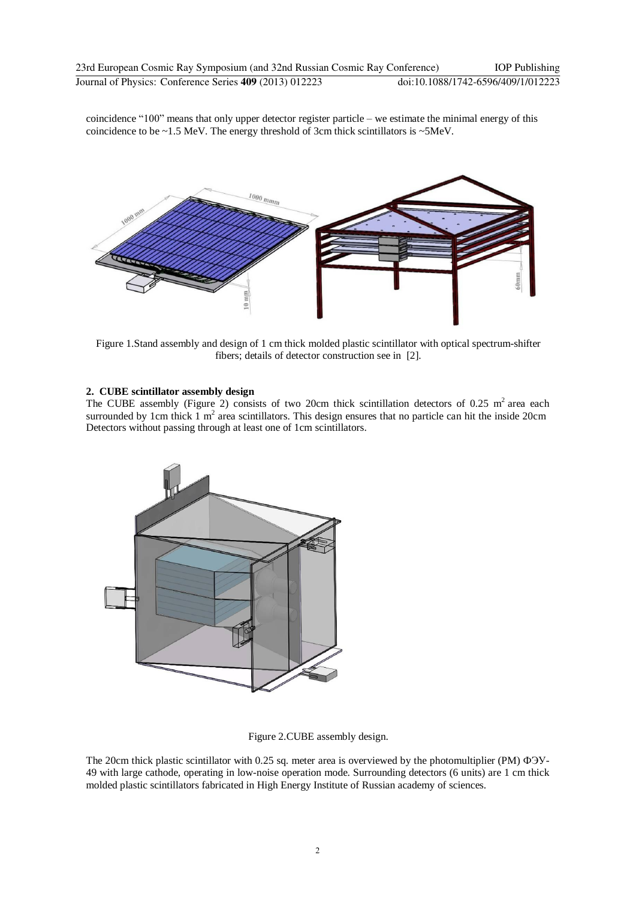coincidence "100" means that only upper detector register particle – we estimate the minimal energy of this coincidence to be ~1.5 MeV. The energy threshold of 3cm thick scintillators is ~5MeV.



Figure 1.Stand assembly and design of 1 cm thick molded plastic scintillator with optical spectrum-shifter fibers; details of detector construction see in [2].

# **2. CUBE scintillator assembly design**

The CUBE assembly (Figure 2) consists of two 20cm thick scintillation detectors of 0.25 m<sup>2</sup> area each surrounded by 1cm thick  $1 \text{ m}^2$  area scintillators. This design ensures that no particle can hit the inside 20cm Detectors without passing through at least one of 1cm scintillators.



Figure 2.CUBE assembly design.

The 20cm thick plastic scintillator with 0.25 sq. meter area is overviewed by the photomultiplier (PM) ФЭУ-49 with large cathode, operating in low-noise operation mode. Surrounding detectors (6 units) are 1 cm thick molded plastic scintillators fabricated in High Energy Institute of Russian academy of sciences.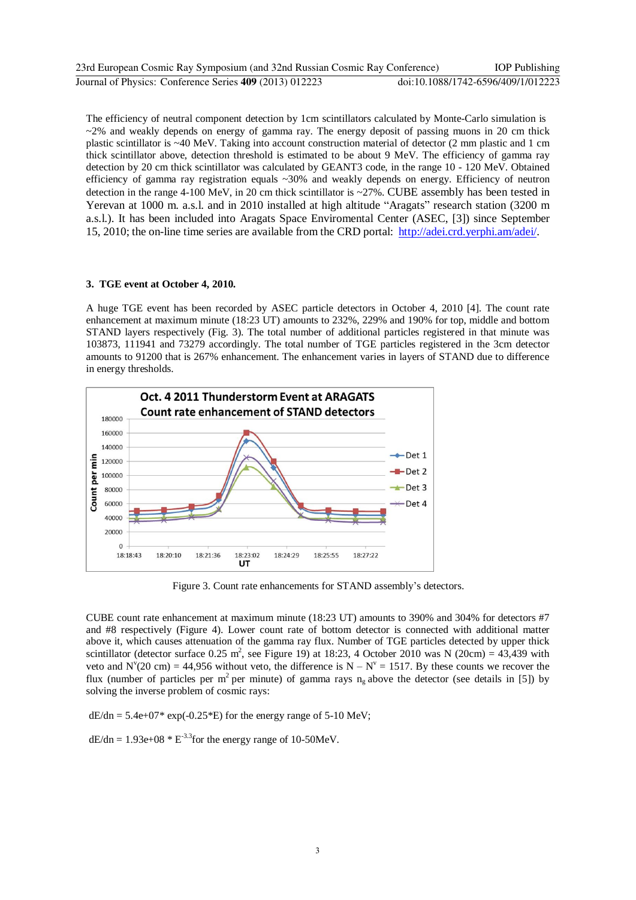| 23rd European Cosmic Ray Symposium (and 32nd Russian Cosmic Ray Conference) | <b>IOP</b> Publishing              |
|-----------------------------------------------------------------------------|------------------------------------|
| Journal of Physics: Conference Series 409 (2013) 012223                     | doi:10.1088/1742-6596/409/1/012223 |

The efficiency of neutral component detection by 1cm scintillators calculated by Monte-Carlo simulation is  $\sim$ 2% and weakly depends on energy of gamma ray. The energy deposit of passing muons in 20 cm thick plastic scintillator is ~40 MeV. Taking into account construction material of detector (2 mm plastic and 1 cm thick scintillator above, detection threshold is estimated to be about 9 MeV. The efficiency of gamma ray detection by 20 cm thick scintillator was calculated by GEANT3 code, in the range 10 - 120 MeV. Obtained efficiency of gamma ray registration equals ~30% and weakly depends on energy. Efficiency of neutron detection in the range 4-100 MeV, in 20 cm thick scintillator is ~27%. CUBE assembly has been tested in Yerevan at 1000 m. a.s.l. and in 2010 installed at high altitude "Aragats" research station (3200 m a.s.l.). It has been included into Aragats Space Enviromental Center (ASEC, [3]) since September 15, 2010; the on-line time series are available from the CRD portal: http://adei.crd.yerphi.am/adei/.

#### **3. TGE event at October 4, 2010.**

A huge TGE event has been recorded by ASEC particle detectors in October 4, 2010 [4]. The count rate enhancement at maximum minute (18:23 UT) amounts to 232%, 229% and 190% for top, middle and bottom STAND layers respectively (Fig. 3). The total number of additional particles registered in that minute was 103873, 111941 and 73279 accordingly. The total number of TGE particles registered in the 3cm detector amounts to 91200 that is 267% enhancement. The enhancement varies in layers of STAND due to difference in energy thresholds.



Figure 3. Count rate enhancements for STAND assembly's detectors.

CUBE count rate enhancement at maximum minute (18:23 UT) amounts to 390% and 304% for detectors #7 and #8 respectively (Figure 4). Lower count rate of bottom detector is connected with additional matter above it, which causes attenuation of the gamma ray flux. Number of TGE particles detected by upper thick scintillator (detector surface 0.25 m<sup>2</sup>, see Figure 19) at 18:23, 4 October 2010 was N (20cm) = 43,439 with veto and N'(20 cm) = 44,956 without veto, the difference is  $N - N^{\nu} = 1517$ . By these counts we recover the flux (number of particles per m<sup>2</sup> per minute) of gamma rays  $n_g$  above the detector (see details in [5]) by solving the inverse problem of cosmic rays:

 $dE/dn = 5.4e+07* exp(-0.25*E)$  for the energy range of 5-10 MeV;

 $dE/dn = 1.93e+08 * E^{-3.3}$  for the energy range of 10-50MeV.